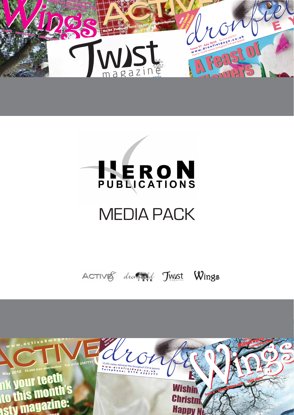

Spring Spring

The big breakfast Scarecrow Festival  $\overline{\phantom{a}}$ 

# **HERON**

ere at last ere at last

Swapping

## MEDIA PACK

Twist Wings

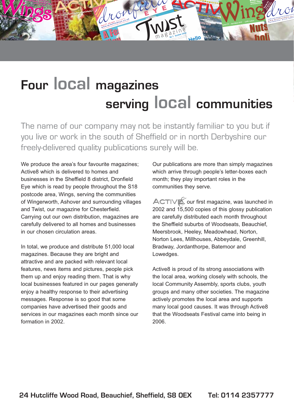## *Border View Farm Shop is open seven days <sup>a</sup> week, so pay the friendly team a visit to get your Christmas menu sorted.* 8-Page Spring Homes & Gardens Guide R und up of news from local schools er worth? ico<br>a loool asmeusitiss Round-up of news from schoolserworth?We've two pages of great ideas **Four local magazines serving local communities**

CHYdronfield

**A Feast of Alberta Company** 

**AFE** 

Flowers

Flowers

 $\mathbf{D}_{\mathbf{p}}$ Scarecrow Festival Food & Drink ideas

Inside: Town Council Annual Report

The name of our company may not be instantly familiar to you but if you live or work in the south of Sheffield or in north Derbyshire our freely-delivered quality publications surely will be.

We produce the area's four favourite magazines; Active8 which is delivered to homes and businesses in the Sheffield 8 district, Dronfield Eye which is read by people throughout the S18 postcode area, Wings, serving the communities of Wingerworth, Ashover and surrounding villages and Twist, our magazine for Chesterfield. Carrying out our own distribution, magazines are carefully delivered to all homes and businesses in our chosen circulation areas.

Jssue 76 - June/July 2010 5,000 free copies

ere at last ere at last

Wins

 $\frac{1}{2}$  ings  $\hat{d}$ 

0 fre  $\bm{D}$ 

Wingerworth, Ashovement villager

gs

The big breakfast Pages 12-14

2 2

Spring Spring

AANo 84 February

ings

In total, we produce and distribute 51,000 local magazines. Because they are bright and attractive and are packed with relevant local features, news items and pictures, people pick them up and enjoy reading them. That is why local businesses featured in our pages generally enjoy a healthy response to their advertising messages. Response is so good that some companies have advertised their goods and services in our magazines each month since our formation in 2002.

Our publications are more than simply magazines which arrive through people's letter-boxes each month; they play important roles in the communities they serve.

ST WITH THE CONTROL OF STREET

Wing

**Issue 75 - April/May 2010 5,000 copies**

Wings Tupton surrounding village.

**Nuts about** 

Nuts **Museum** 

T

Issue 5 Christian<br>New York

holidays?

 $\mathcal{L}$ if droi 15,000 copies delivered from the Length of 2357

e<br>6000 copies delvers 1 e 1 d e v = 2 3 6 7<br>7 e 1 e p h o n e : 0 1 1 4 - 2 3 6 7<br>7 e 1 e p h o n e :

holidays?

 $\overline {\text{Acr}}$ **ACTIV** 

 $\sum_{\text{Iments}}$  $\sum_{u}$  $R_{\text{max}}$ 

Hello

A**December 202** 

 $\frac{1}{N_0}$  Ctober 2010 **WORLD CCODE NO L** Fel 012 & businesses

EYE

TWSt

ACTIVE, our first magazine, was launched in 2002 and 15,500 copies of this glossy publication are carefully distributed each month throughout the Sheffield suburbs of Woodseats, Beauchief, Meersbrook, Heeley, Meadowhead, Norton, Norton Lees, Millhouses, Abbeydale, Greenhill, Bradway, Jordanthorpe, Batemoor and Lowedges.

Active8 is proud of its strong associations with the local area, working closely with schools, the local Community Assembly, sports clubs, youth groups and many other societies. The magazine actively promotes the local area and supports many local good causes. It was through Active8 that the Woodseats Festival came into being in 2006.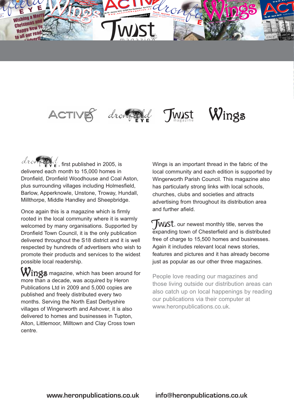

is just around the corner

Chesterfield!

Spring

#### ACTIVES drompted Wings Twist

 $dr \propto \frac{dr}{dr}$ , first published in 2005, is delivered each month to 15,000 homes in Dronfield, Dronfield Woodhouse and Coal Aston, plus surrounding villages including Holmesfield, Barlow, Apperknowle, Unstone, Troway, Hundall, Millthorpe, Middle Handley and Sheepbridge.

The Big  $\overline{\phantom{a}}$ 

Once again this is a magazine which is firmly rooted in the local community where it is warmly welcomed by many organisations. Supported by Dronfield Town Council, it is the only publication delivered throughout the S18 district and it is well respected by hundreds of advertisers who wish to promote their products and services to the widest possible local readership.

 $W$ ings magazine, which has been around for more than a decade, was acquired by Heron Publications Ltd in 2009 and 5,000 copies are published and freely distributed every two months. Serving the North East Derbyshire villages of Wingerworth and Ashover, it is also delivered to homes and businesses in Tupton, Alton, Littlemoor, Milltown and Clay Cross town centre.

Wings is an important thread in the fabric of the local community and each edition is supported by Wingerworth Parish Council. This magazine also has particularly strong links with local schools, churches, clubs and societies and attracts advertising from throughout its distribution area and further afield.

here at last

**TWIST**, our newest monthly title, serves the expanding town of Chesterfield and is distributed expanding town of Chesterfield and is distributed free of charge to 15,500 homes and businesses. Again it includes relevant local news stories, features and pictures and it has already become just as popular as our other three magazines.

People love reading our magazines and those living outside our distribution areas can also catch up on local happenings by reading our publications via their computer at www.heronpublications.co.uk.